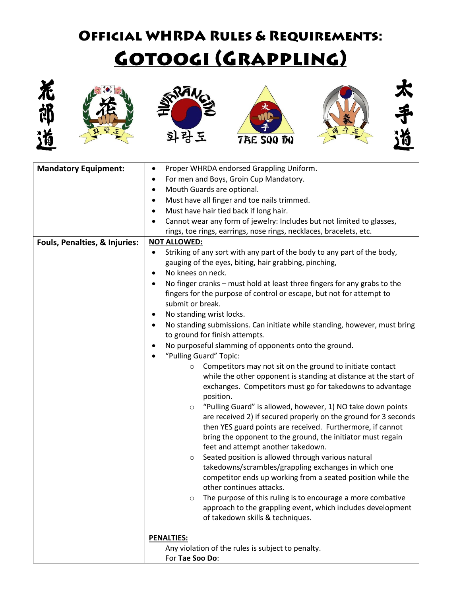## **OFFICIAL WHRDA RULES & REQUIREMENTS:** <u>GOTOOGI (GRAPPLING)</u>













| <b>Mandatory Equipment:</b>   | Proper WHRDA endorsed Grappling Uniform.<br>$\bullet$                                  |
|-------------------------------|----------------------------------------------------------------------------------------|
|                               | For men and Boys, Groin Cup Mandatory.<br>٠                                            |
|                               | Mouth Guards are optional.<br>$\bullet$                                                |
|                               | Must have all finger and toe nails trimmed.<br>$\bullet$                               |
|                               | Must have hair tied back if long hair.<br>٠                                            |
|                               | Cannot wear any form of jewelry: Includes but not limited to glasses,                  |
|                               | rings, toe rings, earrings, nose rings, necklaces, bracelets, etc.                     |
| Fouls, Penalties, & Injuries: | <b>NOT ALLOWED:</b>                                                                    |
|                               | Striking of any sort with any part of the body to any part of the body,<br>$\bullet$   |
|                               | gauging of the eyes, biting, hair grabbing, pinching,                                  |
|                               | No knees on neck.<br>$\bullet$                                                         |
|                               | No finger cranks - must hold at least three fingers for any grabs to the               |
|                               | fingers for the purpose of control or escape, but not for attempt to                   |
|                               | submit or break.                                                                       |
|                               | No standing wrist locks.<br>٠                                                          |
|                               | No standing submissions. Can initiate while standing, however, must bring<br>$\bullet$ |
|                               | to ground for finish attempts.                                                         |
|                               | No purposeful slamming of opponents onto the ground.<br>٠                              |
|                               | "Pulling Guard" Topic:                                                                 |
|                               | Competitors may not sit on the ground to initiate contact<br>$\circ$                   |
|                               | while the other opponent is standing at distance at the start of                       |
|                               | exchanges. Competitors must go for takedowns to advantage                              |
|                               | position.<br>"Pulling Guard" is allowed, however, 1) NO take down points               |
|                               | $\circ$<br>are received 2) if secured properly on the ground for 3 seconds             |
|                               | then YES guard points are received. Furthermore, if cannot                             |
|                               | bring the opponent to the ground, the initiator must regain                            |
|                               | feet and attempt another takedown.                                                     |
|                               | Seated position is allowed through various natural<br>$\circ$                          |
|                               | takedowns/scrambles/grappling exchanges in which one                                   |
|                               | competitor ends up working from a seated position while the                            |
|                               | other continues attacks.                                                               |
|                               | The purpose of this ruling is to encourage a more combative                            |
|                               | approach to the grappling event, which includes development                            |
|                               | of takedown skills & techniques.                                                       |
|                               |                                                                                        |
|                               | <b>PENALTIES:</b>                                                                      |
|                               | Any violation of the rules is subject to penalty.                                      |
|                               | For Tae Soo Do:                                                                        |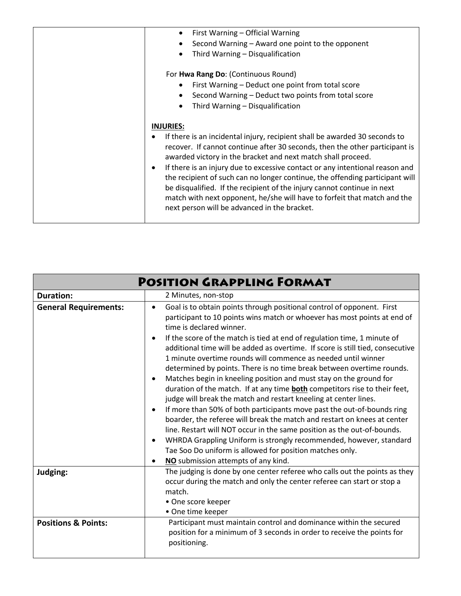| First Warning - Official Warning<br>$\bullet$                                                                                                                                                                                                                                                                                                                       |
|---------------------------------------------------------------------------------------------------------------------------------------------------------------------------------------------------------------------------------------------------------------------------------------------------------------------------------------------------------------------|
| Second Warning - Award one point to the opponent                                                                                                                                                                                                                                                                                                                    |
| Third Warning - Disqualification                                                                                                                                                                                                                                                                                                                                    |
| For Hwa Rang Do: (Continuous Round)                                                                                                                                                                                                                                                                                                                                 |
| First Warning - Deduct one point from total score                                                                                                                                                                                                                                                                                                                   |
| Second Warning - Deduct two points from total score                                                                                                                                                                                                                                                                                                                 |
| Third Warning - Disqualification                                                                                                                                                                                                                                                                                                                                    |
| <b>INJURIES:</b>                                                                                                                                                                                                                                                                                                                                                    |
| If there is an incidental injury, recipient shall be awarded 30 seconds to<br>recover. If cannot continue after 30 seconds, then the other participant is<br>awarded victory in the bracket and next match shall proceed.                                                                                                                                           |
| If there is an injury due to excessive contact or any intentional reason and<br>the recipient of such can no longer continue, the offending participant will<br>be disqualified. If the recipient of the injury cannot continue in next<br>match with next opponent, he/she will have to forfeit that match and the<br>next person will be advanced in the bracket. |
|                                                                                                                                                                                                                                                                                                                                                                     |

| <b>POSITION GRAPPLING FORMAT</b> |                                                                                                                                                                                                                                                                                                                                                                                                                                                                                                                                                                                                                                                                                                                                                                                                                                                                                                                                                                                                                                                                                                                                                                        |
|----------------------------------|------------------------------------------------------------------------------------------------------------------------------------------------------------------------------------------------------------------------------------------------------------------------------------------------------------------------------------------------------------------------------------------------------------------------------------------------------------------------------------------------------------------------------------------------------------------------------------------------------------------------------------------------------------------------------------------------------------------------------------------------------------------------------------------------------------------------------------------------------------------------------------------------------------------------------------------------------------------------------------------------------------------------------------------------------------------------------------------------------------------------------------------------------------------------|
| <b>Duration:</b>                 | 2 Minutes, non-stop                                                                                                                                                                                                                                                                                                                                                                                                                                                                                                                                                                                                                                                                                                                                                                                                                                                                                                                                                                                                                                                                                                                                                    |
| <b>General Requirements:</b>     | Goal is to obtain points through positional control of opponent. First<br>$\bullet$<br>participant to 10 points wins match or whoever has most points at end of<br>time is declared winner.<br>If the score of the match is tied at end of regulation time, 1 minute of<br>additional time will be added as overtime. If score is still tied, consecutive<br>1 minute overtime rounds will commence as needed until winner<br>determined by points. There is no time break between overtime rounds.<br>Matches begin in kneeling position and must stay on the ground for<br>duration of the match. If at any time <b>both</b> competitors rise to their feet,<br>judge will break the match and restart kneeling at center lines.<br>If more than 50% of both participants move past the out-of-bounds ring<br>$\bullet$<br>boarder, the referee will break the match and restart on knees at center<br>line. Restart will NOT occur in the same position as the out-of-bounds.<br>WHRDA Grappling Uniform is strongly recommended, however, standard<br>$\bullet$<br>Tae Soo Do uniform is allowed for position matches only.<br>NO submission attempts of any kind. |
| Judging:                         | The judging is done by one center referee who calls out the points as they                                                                                                                                                                                                                                                                                                                                                                                                                                                                                                                                                                                                                                                                                                                                                                                                                                                                                                                                                                                                                                                                                             |
|                                  | occur during the match and only the center referee can start or stop a<br>match.<br>• One score keeper<br>• One time keeper                                                                                                                                                                                                                                                                                                                                                                                                                                                                                                                                                                                                                                                                                                                                                                                                                                                                                                                                                                                                                                            |
| <b>Positions &amp; Points:</b>   | Participant must maintain control and dominance within the secured<br>position for a minimum of 3 seconds in order to receive the points for<br>positioning.                                                                                                                                                                                                                                                                                                                                                                                                                                                                                                                                                                                                                                                                                                                                                                                                                                                                                                                                                                                                           |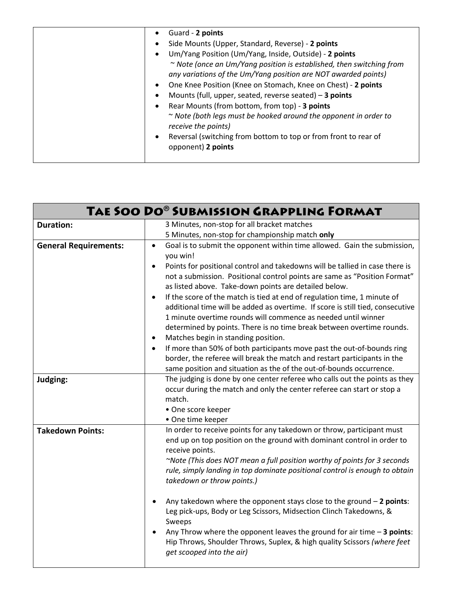| One Knee Position (Knee on Stomach, Knee on Chest) - 2 points<br>$\bullet$<br>Mounts (full, upper, seated, reverse seated) - 3 points<br>$\bullet$<br>Rear Mounts (from bottom, from top) - 3 points<br>$\bullet$<br>$\sim$ Note (both legs must be hooked around the opponent in order to<br>receive the points)<br>Reversal (switching from bottom to top or from front to rear of<br>$\bullet$<br>opponent) 2 points |  | Guard - 2 points<br>$\bullet$<br>Side Mounts (Upper, Standard, Reverse) - 2 points<br>$\bullet$<br>Um/Yang Position (Um/Yang, Inside, Outside) - 2 points<br>$\bullet$<br>$\sim$ Note (once an Um/Yang position is established, then switching from<br>any variations of the Um/Yang position are NOT awarded points) |
|-------------------------------------------------------------------------------------------------------------------------------------------------------------------------------------------------------------------------------------------------------------------------------------------------------------------------------------------------------------------------------------------------------------------------|--|-----------------------------------------------------------------------------------------------------------------------------------------------------------------------------------------------------------------------------------------------------------------------------------------------------------------------|
|-------------------------------------------------------------------------------------------------------------------------------------------------------------------------------------------------------------------------------------------------------------------------------------------------------------------------------------------------------------------------------------------------------------------------|--|-----------------------------------------------------------------------------------------------------------------------------------------------------------------------------------------------------------------------------------------------------------------------------------------------------------------------|

| TAE SOO DO® SUBMISSION GRAPPLING FORMAT |                                                                                                                                                                                                                                                 |
|-----------------------------------------|-------------------------------------------------------------------------------------------------------------------------------------------------------------------------------------------------------------------------------------------------|
| <b>Duration:</b>                        | 3 Minutes, non-stop for all bracket matches                                                                                                                                                                                                     |
|                                         | 5 Minutes, non-stop for championship match only                                                                                                                                                                                                 |
| <b>General Requirements:</b>            | Goal is to submit the opponent within time allowed. Gain the submission,<br>$\bullet$<br>you win!                                                                                                                                               |
|                                         | Points for positional control and takedowns will be tallied in case there is<br>$\bullet$<br>not a submission. Positional control points are same as "Position Format"<br>as listed above. Take-down points are detailed below.                 |
|                                         | If the score of the match is tied at end of regulation time, 1 minute of<br>$\bullet$<br>additional time will be added as overtime. If score is still tied, consecutive<br>1 minute overtime rounds will commence as needed until winner        |
|                                         | determined by points. There is no time break between overtime rounds.<br>Matches begin in standing position.<br>$\bullet$                                                                                                                       |
|                                         | If more than 50% of both participants move past the out-of-bounds ring<br>$\bullet$<br>border, the referee will break the match and restart participants in the<br>same position and situation as the of the out-of-bounds occurrence.          |
| Judging:                                | The judging is done by one center referee who calls out the points as they<br>occur during the match and only the center referee can start or stop a<br>match.<br>• One score keeper<br>• One time keeper                                       |
| <b>Takedown Points:</b>                 | In order to receive points for any takedown or throw, participant must<br>end up on top position on the ground with dominant control in order to<br>receive points.<br>~Note (This does NOT mean a full position worthy of points for 3 seconds |
|                                         | rule, simply landing in top dominate positional control is enough to obtain<br>takedown or throw points.)                                                                                                                                       |
|                                         | Any takedown where the opponent stays close to the ground $-2$ points:<br>Leg pick-ups, Body or Leg Scissors, Midsection Clinch Takedowns, &<br>Sweeps                                                                                          |
|                                         | Any Throw where the opponent leaves the ground for air time $-3$ points:<br>Hip Throws, Shoulder Throws, Suplex, & high quality Scissors (where feet<br>get scooped into the air)                                                               |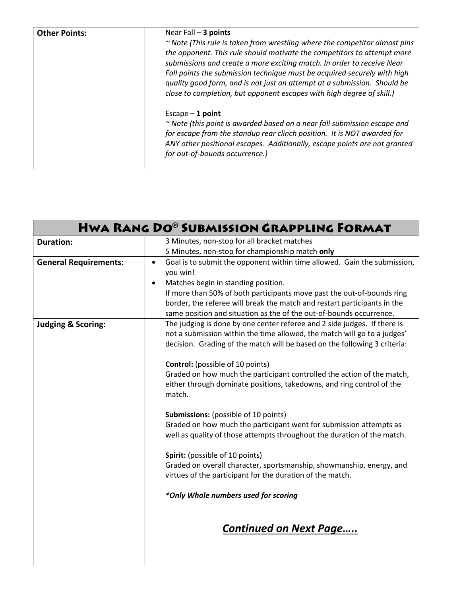| <b>Other Points:</b> | Near Fall $-3$ points<br>~ Note (This rule is taken from wrestling where the competitor almost pins<br>the opponent. This rule should motivate the competitors to attempt more<br>submissions and create a more exciting match. In order to receive Near<br>Fall points the submission technique must be acquired securely with high<br>quality good form, and is not just an attempt at a submission. Should be<br>close to completion, but opponent escapes with high degree of skill.) |
|----------------------|-------------------------------------------------------------------------------------------------------------------------------------------------------------------------------------------------------------------------------------------------------------------------------------------------------------------------------------------------------------------------------------------------------------------------------------------------------------------------------------------|
|                      | Escape $-1$ point<br>~ Note (this point is awarded based on a near fall submission escape and<br>for escape from the standup rear clinch position. It is NOT awarded for<br>ANY other positional escapes. Additionally, escape points are not granted<br>for out-of-bounds occurrence.)                                                                                                                                                                                                   |

| <b>HWA RANG DO® SUBMISSION GRAPPLING FORMAT</b> |                                                                                       |
|-------------------------------------------------|---------------------------------------------------------------------------------------|
| <b>Duration:</b>                                | 3 Minutes, non-stop for all bracket matches                                           |
|                                                 | 5 Minutes, non-stop for championship match only                                       |
| <b>General Requirements:</b>                    | Goal is to submit the opponent within time allowed. Gain the submission,<br>$\bullet$ |
|                                                 | you win!                                                                              |
|                                                 | Matches begin in standing position.<br>$\bullet$                                      |
|                                                 | If more than 50% of both participants move past the out-of-bounds ring                |
|                                                 | border, the referee will break the match and restart participants in the              |
|                                                 | same position and situation as the of the out-of-bounds occurrence.                   |
| <b>Judging &amp; Scoring:</b>                   | The judging is done by one center referee and 2 side judges. If there is              |
|                                                 | not a submission within the time allowed, the match will go to a judges'              |
|                                                 | decision. Grading of the match will be based on the following 3 criteria:             |
|                                                 | <b>Control:</b> (possible of 10 points)                                               |
|                                                 | Graded on how much the participant controlled the action of the match,                |
|                                                 | either through dominate positions, takedowns, and ring control of the                 |
|                                                 | match.                                                                                |
|                                                 |                                                                                       |
|                                                 | <b>Submissions:</b> (possible of 10 points)                                           |
|                                                 | Graded on how much the participant went for submission attempts as                    |
|                                                 | well as quality of those attempts throughout the duration of the match.               |
|                                                 | Spirit: (possible of 10 points)                                                       |
|                                                 | Graded on overall character, sportsmanship, showmanship, energy, and                  |
|                                                 | virtues of the participant for the duration of the match.                             |
|                                                 | *Only Whole numbers used for scoring                                                  |
|                                                 | <b>Continued on Next Page</b>                                                         |